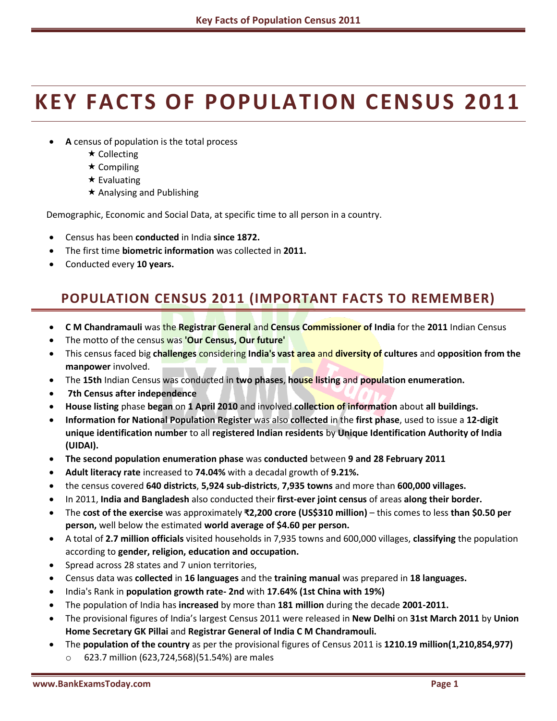# **KEY FACTS OF POPULATION CENSUS 2011**

- **A** census of population is the total process
	- **★ Collecting**
	- $\star$  Compiling
	- $\star$  Evaluating
	- $\star$  Analysing and Publishing

Demographic, Economic and Social Data, at specific time to all person in a country.

- Census has been **conducted** in India **since 1872.**
- The first time **biometric information** was collected in **2011.**
- Conducted every **10 years.**

## **POPULATION CENSUS 2011 (IMPORTANT FACTS TO REMEMBER)**

- **C M Chandramauli** was the **Registrar General** and **Census Commissioner of India** for the **2011** Indian Census
- The motto of the census was **'Our Census, Our future'**
- This census faced big **challenges** considering **India's vast area** and **diversity of cultures** and **opposition from the manpower** involved.
- The **15th** Indian Census was conducted in **two phases**, **house listing** and **population enumeration.**
- **7th Census after independence**
- **House listing** phase **began** on **1 April 2010** and involved **collection of information** about **all buildings.**
- **Information for National Population Register** was also **collected** in the **first phase**, used to issue a **12-digit unique identification number** to all **registered Indian residents** by **Unique Identification Authority of India (UIDAI).**
- **The second population enumeration phase** was **conducted** between **9 and 28 February 2011**
- **Adult literacy rate** increased to **74.04%** with a decadal growth of **9.21%.**
- the census covered **640 districts**, **5,924 sub-districts**, **7,935 towns** and more than **600,000 villages.**
- In 2011, **India and Bangladesh** also conducted their **first-ever joint census** of areas **along their border.**
- The **cost of the exercise** was approximately **₹2,200 crore (US\$310 million)** this comes to less **than \$0.50 per person,** well below the estimated **world average of \$4.60 per person.**
- A total of **2.7 million officials** visited households in 7,935 towns and 600,000 villages, **classifying** the population according to **gender, religion, education and occupation.**
- Spread across 28 states and 7 union territories,
- Census data was **collected** in **16 languages** and the **training manual** was prepared in **18 languages.**
- India's Rank in **population growth rate- 2nd** with **17.64% (1st China with 19%)**
- The population of India has **increased** by more than **181 million** during the decade **2001-2011.**
- The provisional figures of India's largest Census 2011 were released in **New Delhi** on **31st March 2011** by **Union Home Secretary GK Pillai** and **Registrar General of India C M Chandramouli.**
- The **population of the country** as per the provisional figures of Census 2011 is **1210.19 million(1,210,854,977)** o 623.7 million (623,724,568)(51.54%) are males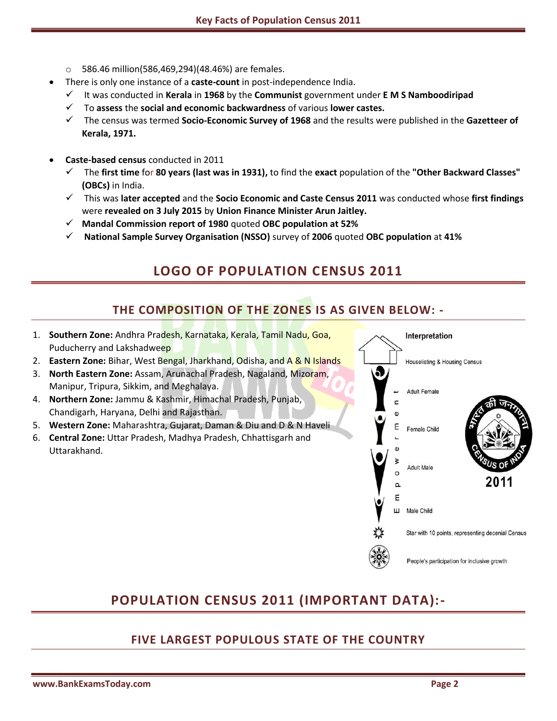- o 586.46 million(586,469,294)(48.46%) are females.
- There is only one instance of a **caste-count** in post-independence India.
	- It was conducted in **Kerala** in **1968** by the **Communist** government under **E M S Namboodiripad**
	- To **assess** the **social and economic backwardness** of various **lower castes.**
	- The census was termed **Socio-Economic Survey of 1968** and the results were published in the **Gazetteer of Kerala, 1971.**
- **Caste-based census** conducted in 2011
	- The **first time** for **80 years (last was in 1931),** to find the **exact** population of the **"Other Backward Classes" (OBCs)** in India.
	- This was **later accepted** and the **Socio Economic and Caste Census 2011** was conducted whose **first findings** were **revealed on 3 July 2015** by **Union Finance Minister Arun Jaitley.**
	- **Mandal Commission report of 1980** quoted **OBC population at 52%**
	- **National Sample Survey Organisation (NSSO)** survey of **2006** quoted **OBC population** at **41%**

## **LOGO OF POPULATION CENSUS 2011**

#### **THE COMPOSITION OF THE ZONES IS AS GIVEN BELOW: -**

- 1. **Southern Zone:** Andhra Pradesh, Karnataka, Kerala, Tamil Nadu, Goa, Puducherry and Lakshadweep
- 2. **Eastern Zone:** Bihar, West Bengal, Jharkhand, Odisha, and A & N Islands
- 3. **North Eastern Zone:** Assam, Arunachal Pradesh, Nagaland, Mizoram, Manipur, Tripura, Sikkim, and Meghalaya.
- 4. **Northern Zone:** Jammu & Kashmir, Himachal Pradesh, Punjab, Chandigarh, Haryana, Delhi and Rajasthan.
- 5. **Western Zone:** Maharashtra, Gujarat, Daman & Diu and D & N Haveli
- 6. **Central Zone:** Uttar Pradesh, Madhya Pradesh, Chhattisgarh and Uttarakhand.



#### **POPULATION CENSUS 2011 (IMPORTANT DATA):-**

#### **FIVE LARGEST POPULOUS STATE OF THE COUNTRY**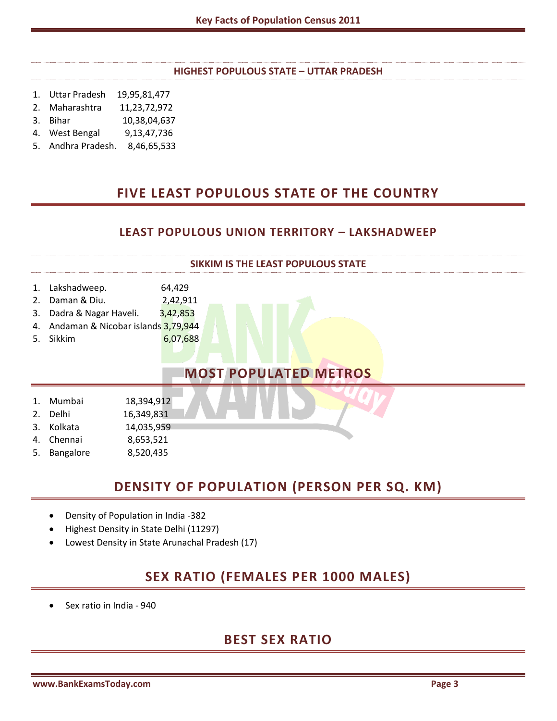#### **HIGHEST POPULOUS STATE – UTTAR PRADESH**

- 1. Uttar Pradesh 19,95,81,477
- 2. Maharashtra 11,23,72,972
- 3. Bihar 10,38,04,637
- 4. West Bengal 9,13,47,736
- 5. Andhra Pradesh. 8,46,65,533

#### **FIVE LEAST POPULOUS STATE OF THE COUNTRY**

#### **LEAST POPULOUS UNION TERRITORY – LAKSHADWEEP**



#### **DENSITY OF POPULATION (PERSON PER SQ. KM)**

- Density of Population in India -382
- Highest Density in State Delhi (11297)
- Lowest Density in State Arunachal Pradesh (17)

#### **SEX RATIO (FEMALES PER 1000 MALES)**

Sex ratio in India - 940

#### **BEST SEX RATIO**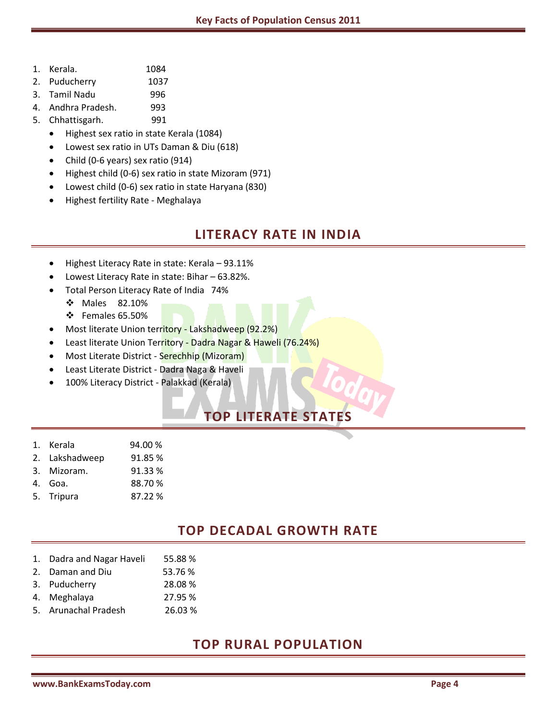- 1. Kerala. 1084
- 2. Puducherry 1037
- 3. Tamil Nadu 996
- 4. Andhra Pradesh. 993
- 5. Chhattisgarh. 991
	- Highest sex ratio in state Kerala (1084)
	- Lowest sex ratio in UTs Daman & Diu (618)
	- Child (0-6 years) sex ratio (914)
	- Highest child (0-6) sex ratio in state Mizoram (971)
	- Lowest child (0-6) sex ratio in state Haryana (830)
	- Highest fertility Rate Meghalaya

#### **LITERACY RATE IN INDIA**

- Highest Literacy Rate in state: Kerala 93.11%
- Lowest Literacy Rate in state: Bihar 63.82%.
- Total Person Literacy Rate of India 74%
	- Males 82.10%
	- $\div$  Females 65.50%
- Most literate Union territory Lakshadweep (92.2%)
- Least literate Union Territory Dadra Nagar & Haweli (76.24%)
- Most Literate District Serechhip (Mizoram)
- Least Literate District Dadra Naga & Haveli
- 100% Literacy District Palakkad (Kerala)

# **TOP LITERATE STATES**

- 1. Kerala 94.00 %
- 2. Lakshadweep 91.85 %
- 3. Mizoram. 91.33 %
- 4. Goa. 88.70 %
- 5. Tripura 87.22 %

#### **TOP DECADAL GROWTH RATE**

- 1. Dadra and Nagar Haveli 55.88 %
- 2. Daman and Diu 53.76 %
- 3. Puducherry 28.08 %
- 4. Meghalaya 27.95 %
- 5. Arunachal Pradesh 26.03 %

#### **TOP RURAL POPULATION**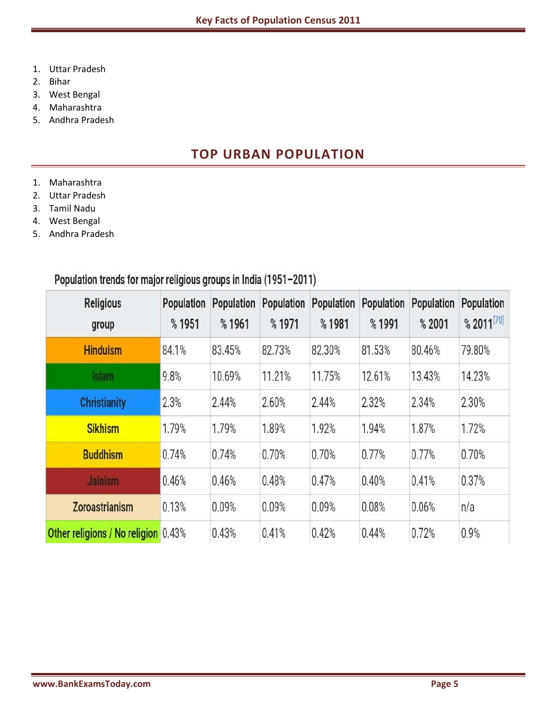- 1. Uttar Pradesh
- 2. Bihar
- 3. West Bengal
- 4. Maharashtra
- 5. Andhra Pradesh

#### **TOP URBAN POPULATION**

- 1. Maharashtra
- 2. Uttar Pradesh
- 3. Tamil Nadu
- 4. West Bengal
- 5. Andhra Pradesh

## Population trends for major religious groups in India (1951-2011)

| <b>Religious</b><br>group                  | <b>Population</b><br>%1951 | <b>Population</b><br>%1961 | <b>Population</b><br>%1971 | <b>Population</b><br>%1981 | <b>Population</b><br>%1991 | <b>Population</b><br>%2001 | <b>Population</b><br>% 2011 [70] |
|--------------------------------------------|----------------------------|----------------------------|----------------------------|----------------------------|----------------------------|----------------------------|----------------------------------|
| <b>Hinduism</b>                            | 84.1%                      | 83.45%                     | 82.73%                     | 82.30%                     | 81.53%                     | 80.46%                     | 79.80%                           |
| Islam                                      | 9.8%                       | 10.69%                     | 11.21%                     | 11.75%                     | 12.61%                     | 13.43%                     | 14.23%                           |
| <b>Christianity</b>                        | 2.3%                       | 2.44%                      | 2.60%                      | 2.44%                      | 2.32%                      | 2.34%                      | 2.30%                            |
| <b>Sikhism</b>                             | 1.79%                      | 1.79%                      | 1.89%                      | 1.92%                      | 1.94%                      | 1.87%                      | 1.72%                            |
| <b>Buddhism</b>                            | 0.74%                      | 0.74%                      | 0.70%                      | 0.70%                      | 0.77%                      | 0.77%                      | 0.70%                            |
| <b>Jainism</b>                             | 0.46%                      | 0.46%                      | 0.48%                      | 0.47%                      | 0.40%                      | 0.41%                      | 0.37%                            |
| <b>Zoroastrianism</b>                      | 0.13%                      | 0.09%                      | 0.09%                      | 0.09%                      | 0.08%                      | 0.06%                      | n/a                              |
| <b>Other religions / No religion</b> 0.43% |                            | 0.43%                      | 0.41%                      | 0.42%                      | 0.44%                      | 0.72%                      | 0.9%                             |